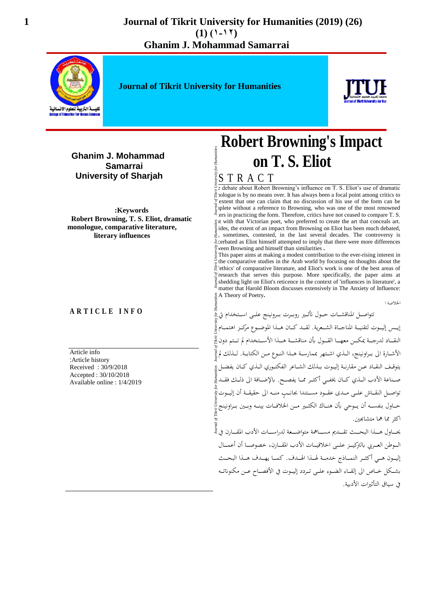

**Journal of Tikrit University for Humanities**



**Ghanim J. Mohammad Samarrai University of Sharjah** 

**:Keywords Robert Browning, T. S. Eliot, dramatic monologue, comparative literature, literary influences**

#### **A R T I C L E I N F O**

Article info :Article history Received : 30/9/2018 Accepted : 30/10/2018 Available online : 1/4/2019

# **Robert Browning's Impact on T. S. Eliot**

S T R A C T

e debate about Robert Browning's influence on T. S. Eliot's use of dramatic  $\frac{1}{2}$  no means over. It has always been a focal point among critics to extent that one can claim that no discussion of his use of the form can be plete without a reference to Browning, who was one of the most renowned ers in practicing the form. Therefore, critics have not ceased to compare T. S. Eliot with that Victorian poet, who preferred to create the art that conceals art. ides, the extent of an impact from Browning on Eliot has been much debated,  $\frac{1}{2}$ , sometimes, contested, in the last several decades. The controversy is sometimes, contested, in the last several decades. The controversy is exacerbated as Eliot himself attempted to imply that there were more differences ween Browning and himself than similarities .

This paper aims at making a modest contribution to the ever-rising interest in the comparative studies in the Arab world by focusing on thoughts about the 'ethics' of comparative literature, and Eliot's work is one of the best areas of research that serves this purpose. More specifically, the paper aims at shedding light on Eliot's reticence in the context of 'influences in literature', a matter that Harold Bloom discusses extensively in The Anxiety of Influence: A Theory of Poetry**.**

اخلالصة ا

*Journal of Tikrit University for Humanities Journal of Tikrit University for Humanities Journal of Tikrit University for Humanities Journal of Tikrit University for Humanities* تتواصل المناقشــات حــول تأثــير روبــرت بــرونينج علــي اســتخدام تي إيـس إليــوت لتقنيــة المناجــاة الشــعرية. لقـــد كــان هــذا الموضــوع مركــز اهتمــام النقباد لدرجية يمكين معهيا القسول بأن مناقشية هيذا الأسبتخدام لم تستم دون في الأشــارة الى بــراونينج، الــذي اشـتهر بممارســة هــذا النــوع مــن الكتابــة. لــذلك لم يتوقـف النقـاد عـن مقارنـة إليـوت بـذلك الشـاعر الفكتـوري الـذي كـان يفضـل ي صـناعة الأدب الــذي كــان يخفــي أكثــر ممــا يفصــح. بالإضــافة الى ذلــك فقــد صلى الله تواصل النقــاش علــي مــدى عقــود مســتندا بجانــب منــه الى حقيقــة أن إليــوت ْ حـاول بنفســه أن يــوحي بأن هنــاك الكثــير مــن الخلافــات بينــه وبــين بــراونينج اكث مما مها متشاهبن.

يحـــاول هــــذا البحـــث تقــــديم مســـاهمة متواضـــعة لدراســـات الأدب المقـــارن في قج الـوطن العـربي بالتركيــز علــي اخلاقيــات الأدب المقــارن، خصوصــا أن أعمــال إليـون هـي أكثـر النمـاذج خدمـة لهـذا الهـدف. كمـا يهـدف هـذا البحـث بشكل خـاص الى إلقــاء الضــوء علــي تــردد إليــوت في الأفصــاح عــن مكنوناتــه في سباق التأثيرات الأدبية.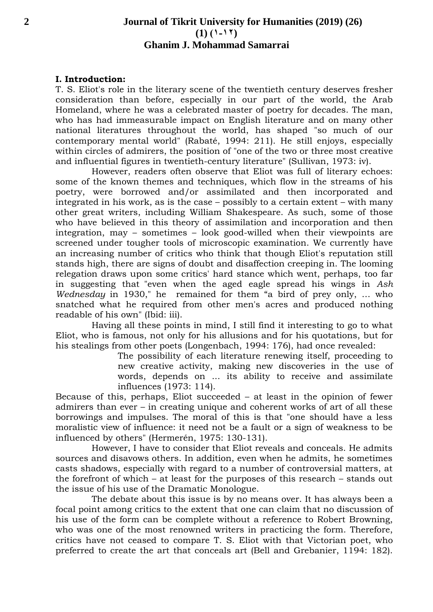## **2 Journal of Tikrit University for Humanities (2019) (26)**   $(1)$   $(1 - 17)$ **Ghanim J. Mohammad Samarrai**

#### **I. Introduction:**

T. S. Eliot's role in the literary scene of the twentieth century deserves fresher consideration than before, especially in our part of the world, the Arab Homeland, where he was a celebrated master of poetry for decades. The man, who has had immeasurable impact on English literature and on many other national literatures throughout the world, has shaped "so much of our contemporary mental world" (Rabaté, 1994: 211). He still enjoys, especially within circles of admirers, the position of "one of the two or three most creative and influential figures in twentieth-century literature" (Sullivan, 1973: iv).

However, readers often observe that Eliot was full of literary echoes: some of the known themes and techniques, which flow in the streams of his poetry, were borrowed and/or assimilated and then incorporated and integrated in his work, as is the case – possibly to a certain extent – with many other great writers, including William Shakespeare. As such, some of those who have believed in this theory of assimilation and incorporation and then integration, may – sometimes – look good-willed when their viewpoints are screened under tougher tools of microscopic examination. We currently have an increasing number of critics who think that though Eliot's reputation still stands high, there are signs of doubt and disaffection creeping in. The looming relegation draws upon some critics' hard stance which went, perhaps, too far in suggesting that "even when the aged eagle spread his wings in *Ash Wednesday* in 1930," he remained for them "a bird of prey only, … who snatched what he required from other men's acres and produced nothing readable of his own" (Ibid: iii).

Having all these points in mind, I still find it interesting to go to what Eliot, who is famous, not only for his allusions and for his quotations, but for his stealings from other poets (Longenbach, 1994: 176), had once revealed:

> The possibility of each literature renewing itself, proceeding to new creative activity, making new discoveries in the use of words, depends on ... its ability to receive and assimilate influences (1973: 114).

Because of this, perhaps, Eliot succeeded – at least in the opinion of fewer admirers than ever – in creating unique and coherent works of art of all these borrowings and impulses. The moral of this is that "one should have a less moralistic view of influence: it need not be a fault or a sign of weakness to be influenced by others" (Hermerén, 1975: 130-131).

However, I have to consider that Eliot reveals and conceals. He admits sources and disavows others. In addition, even when he admits, he sometimes casts shadows, especially with regard to a number of controversial matters, at the forefront of which – at least for the purposes of this research – stands out the issue of his use of the Dramatic Monologue.

The debate about this issue is by no means over. It has always been a focal point among critics to the extent that one can claim that no discussion of his use of the form can be complete without a reference to Robert Browning, who was one of the most renowned writers in practicing the form. Therefore, critics have not ceased to compare T. S. Eliot with that Victorian poet, who preferred to create the art that conceals art (Bell and Grebanier, 1194: 182).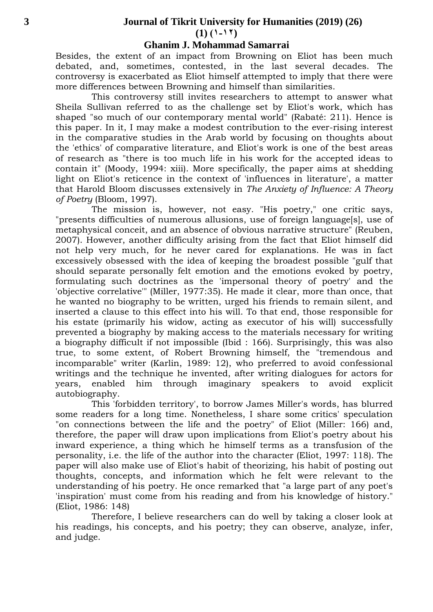#### **3 Journal of Tikrit University for Humanities (2019) (26)**

 $(1) (1 - 17)$ 

#### **Ghanim J. Mohammad Samarrai**

Besides, the extent of an impact from Browning on Eliot has been much debated, and, sometimes, contested, in the last several decades. The controversy is exacerbated as Eliot himself attempted to imply that there were more differences between Browning and himself than similarities.

This controversy still invites researchers to attempt to answer what Sheila Sullivan referred to as the challenge set by Eliot's work, which has shaped "so much of our contemporary mental world" (Rabaté: 211). Hence is this paper. In it, I may make a modest contribution to the ever-rising interest in the comparative studies in the Arab world by focusing on thoughts about the 'ethics' of comparative literature, and Eliot's work is one of the best areas of research as "there is too much life in his work for the accepted ideas to contain it" (Moody, 1994: xiii). More specifically, the paper aims at shedding light on Eliot's reticence in the context of 'influences in literature', a matter that Harold Bloom discusses extensively in *The Anxiety of Influence: A Theory of Poetry* (Bloom, 1997).

The mission is, however, not easy. "His poetry," one critic says, "presents difficulties of numerous allusions, use of foreign language[s], use of metaphysical conceit, and an absence of obvious narrative structure" (Reuben, 2007). However, another difficulty arising from the fact that Eliot himself did not help very much, for he never cared for explanations. He was in fact excessively obsessed with the idea of keeping the broadest possible "gulf that should separate personally felt emotion and the emotions evoked by poetry, formulating such doctrines as the 'impersonal theory of poetry' and the 'objective correlative'" (Miller, 1977:35). He made it clear, more than once, that he wanted no biography to be written, urged his friends to remain silent, and inserted a clause to this effect into his will. To that end, those responsible for his estate (primarily his widow, acting as executor of his will) successfully prevented a biography by making access to the materials necessary for writing a biography difficult if not impossible (Ibid : 166). Surprisingly, this was also true, to some extent, of Robert Browning himself, the "tremendous and incomparable" writer (Karlin, 1989: 12), who preferred to avoid confessional writings and the technique he invented, after writing dialogues for actors for years, enabled him through imaginary speakers to avoid explicit autobiography.

This 'forbidden territory', to borrow James Miller's words, has blurred some readers for a long time. Nonetheless, I share some critics' speculation "on connections between the life and the poetry" of Eliot (Miller: 166) and, therefore, the paper will draw upon implications from Eliot's poetry about his inward experience, a thing which he himself terms as a transfusion of the personality, i.e. the life of the author into the character (Eliot, 1997: 118). The paper will also make use of Eliot's habit of theorizing, his habit of posting out thoughts, concepts, and information which he felt were relevant to the understanding of his poetry. He once remarked that "a large part of any poet's 'inspiration' must come from his reading and from his knowledge of history." (Eliot, 1986: 148)

Therefore, I believe researchers can do well by taking a closer look at his readings, his concepts, and his poetry; they can observe, analyze, infer, and judge.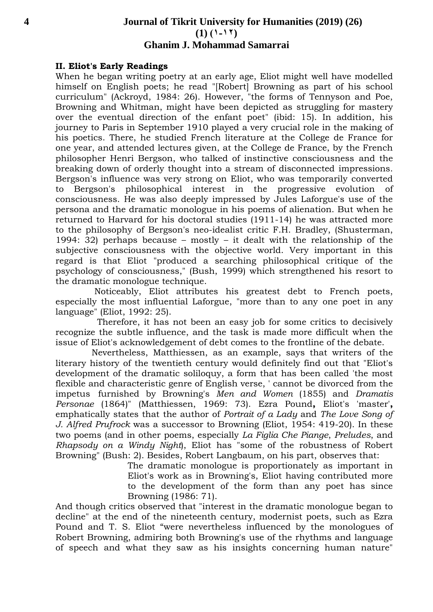## **4 Journal of Tikrit University for Humanities (2019) (26)**   $(1)$   $(1 - 17)$ **Ghanim J. Mohammad Samarrai**

#### **II. Eliot's Early Readings**

When he began writing poetry at an early age, Eliot might well have modelled himself on English poets; he read "[Robert] Browning as part of his school curriculum" (Ackroyd, 1984: 26). However, "the forms of Tennyson and Poe, Browning and Whitman, might have been depicted as struggling for mastery over the eventual direction of the enfant poet" (ibid: 15). In addition, his journey to Paris in September 1910 played a very crucial role in the making of his poetics. There, he studied French literature at the College de France for one year, and attended lectures given, at the College de France, by the French philosopher Henri Bergson, who talked of instinctive consciousness and the breaking down of orderly thought into a stream of disconnected impressions. Bergson's influence was very strong on Eliot, who was temporarily converted to Bergson's philosophical interest in the progressive evolution of consciousness. He was also deeply impressed by Jules Laforgue's use of the persona and the dramatic monologue in his poems of alienation. But when he returned to Harvard for his doctoral studies (1911-14) he was attracted more to the philosophy of Bergson's neo-idealist critic F.H. Bradley, (Shusterman, 1994: 32) perhaps because – mostly – it dealt with the relationship of the subjective consciousness with the objective world. Very important in this regard is that Eliot "produced a searching philosophical critique of the psychology of consciousness," (Bush, 1999) which strengthened his resort to the dramatic monologue technique.

Noticeably, Eliot attributes his greatest debt to French poets, especially the most influential Laforgue, "more than to any one poet in any language" (Eliot, 1992: 25).

 Therefore, it has not been an easy job for some critics to decisively recognize the subtle influence, and the task is made more difficult when the issue of Eliot's acknowledgement of debt comes to the frontline of the debate.

Nevertheless, Matthiessen, as an example, says that writers of the literary history of the twentieth century would definitely find out that "Eliot's development of the dramatic soliloquy, a form that has been called 'the most flexible and characteristic genre of English verse, ' cannot be divorced from the impetus furnished by Browning's *Men and Women* (1855) and *Dramatis Personae* (1864)" (Matthiessen, 1969: 73). Ezra Pound**,** Eliot's 'master'**,**  emphatically states that the author of *Portrait of a Lady* and *The Love Song of J. Alfred Prufrock* was a successor to Browning (Eliot, 1954: 419-20). In these two poems (and in other poems, especially *La Figlia Che Piange*, *Preludes*, and *Rhapsody on a Windy Night*), Eliot has "some of the robustness of Robert Browning" (Bush: 2). Besides, Robert Langbaum, on his part, observes that:

> The dramatic monologue is proportionately as important in Eliot's work as in Browning's, Eliot having contributed more to the development of the form than any poet has since Browning (1986: 71).

And though critics observed that "interest in the dramatic monologue began to decline" at the end of the nineteenth century, modernist poets, such as Ezra Pound and T. S. Eliot "were nevertheless influenced by the monologues of Robert Browning, admiring both Browning's use of the rhythms and language of speech and what they saw as his insights concerning human nature"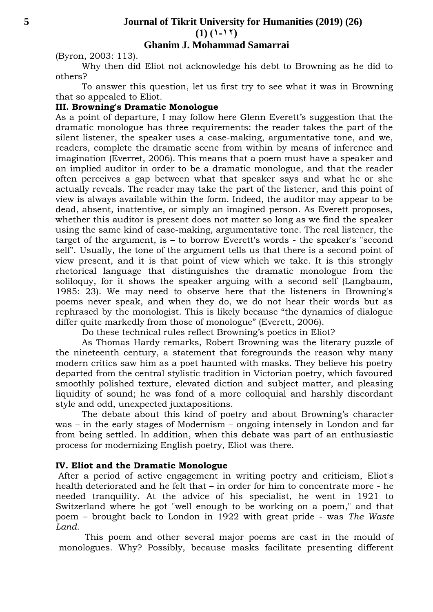### **Ghanim J. Mohammad Samarrai**

(Byron, 2003: 113).

Why then did Eliot not acknowledge his debt to Browning as he did to others?

To answer this question, let us first try to see what it was in Browning that so appealed to Eliot.

#### **III. Browning's Dramatic Monologue**

As a point of departure, I may follow here Glenn Everett's suggestion that the dramatic monologue has three requirements: the reader takes the part of the silent listener, the speaker uses a case-making, argumentative tone, and we, readers, complete the dramatic scene from within by means of inference and imagination (Everret, 2006). This means that a poem must have a speaker and an implied auditor in order to be a dramatic monologue, and that the reader often perceives a gap between what that speaker says and what he or she actually reveals. The reader may take the part of the listener, and this point of view is always available within the form. Indeed, the auditor may appear to be dead, absent, inattentive, or simply an imagined person. As Everett proposes, whether this auditor is present does not matter so long as we find the speaker using the same kind of case-making, argumentative tone. The real listener, the target of the argument, is – to borrow Everett's words - the speaker's "second self". Usually, the tone of the argument tells us that there is a second point of view present, and it is that point of view which we take. It is this strongly rhetorical language that distinguishes the dramatic monologue from the soliloquy, for it shows the speaker arguing with a second self (Langbaum, 1985: 23). We may need to observe here that the listeners in Browning's poems never speak, and when they do, we do not hear their words but as rephrased by the monologist. This is likely because "the dynamics of dialogue differ quite markedly from those of monologue" (Everett, 2006).

Do these technical rules reflect Browning's poetics in Eliot?

As Thomas Hardy remarks, Robert Browning was the literary puzzle of the nineteenth century, a statement that foregrounds the reason why many modern critics saw him as a poet haunted with masks. They believe his poetry departed from the central stylistic tradition in Victorian poetry, which favoured smoothly polished texture, elevated diction and subject matter, and pleasing liquidity of sound; he was fond of a more colloquial and harshly discordant style and odd, unexpected juxtapositions.

The debate about this kind of poetry and about Browning's character was – in the early stages of Modernism – ongoing intensely in London and far from being settled. In addition, when this debate was part of an enthusiastic process for modernizing English poetry, Eliot was there.

#### **IV. Eliot and the Dramatic Monologue**

After a period of active engagement in writing poetry and criticism, Eliot's health deteriorated and he felt that – in order for him to concentrate more - he needed tranquility. At the advice of his specialist, he went in 1921 to Switzerland where he got "well enough to be working on a poem," and that poem – brought back to London in 1922 with great pride - was *The Waste Land*.

This poem and other several major poems are cast in the mould of monologues. Why? Possibly, because masks facilitate presenting different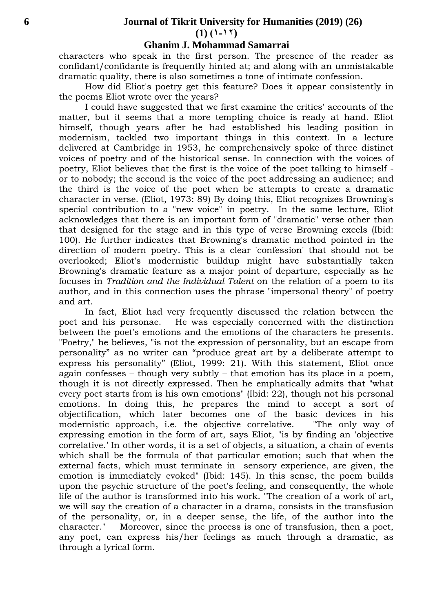# **6 Journal of Tikrit University for Humanities (2019) (26)**

 $(1)$   $(1 - 17)$ 

#### **Ghanim J. Mohammad Samarrai**

characters who speak in the first person. The presence of the reader as confidant/confidante is frequently hinted at; and along with an unmistakable dramatic quality, there is also sometimes a tone of intimate confession.

How did Eliot's poetry get this feature? Does it appear consistently in the poems Eliot wrote over the years?

I could have suggested that we first examine the critics' accounts of the matter, but it seems that a more tempting choice is ready at hand. Eliot himself, though years after he had established his leading position in modernism, tackled two important things in this context. In a lecture delivered at Cambridge in 1953, he comprehensively spoke of three distinct voices of poetry and of the historical sense. In connection with the voices of poetry, Eliot believes that the first is the voice of the poet talking to himself or to nobody; the second is the voice of the poet addressing an audience; and the third is the voice of the poet when be attempts to create a dramatic character in verse. (Eliot, 1973: 89) By doing this, Eliot recognizes Browning's special contribution to a "new voice" in poetry. In the same lecture, Eliot acknowledges that there is an important form of "dramatic" verse other than that designed for the stage and in this type of verse Browning excels (Ibid: 100). He further indicates that Browning's dramatic method pointed in the direction of modern poetry. This is a clear 'confession' that should not be overlooked; Eliot's modernistic buildup might have substantially taken Browning's dramatic feature as a major point of departure, especially as he focuses in *Tradition and the Individual Talent* on the relation of a poem to its author, and in this connection uses the phrase "impersonal theory" of poetry and art.

In fact, Eliot had very frequently discussed the relation between the poet and his personae. He was especially concerned with the distinction between the poet's emotions and the emotions of the characters he presents. "Poetry," he believes, "is not the expression of personality, but an escape from personality" as no writer can "produce great art by a deliberate attempt to express his personality" (Eliot, 1999: 21). With this statement, Eliot once again confesses – though very subtly – that emotion has its place in a poem, though it is not directly expressed. Then he emphatically admits that "what every poet starts from is his own emotions" (Ibid: 22), though not his personal emotions. In doing this, he prepares the mind to accept a sort of objectification, which later becomes one of the basic devices in his modernistic approach, i.e. the objective correlative. "The only way of expressing emotion in the form of art, says Eliot, "is by finding an 'objective correlative.' In other words, it is a set of objects, a situation, a chain of events which shall be the formula of that particular emotion; such that when the external facts, which must terminate in sensory experience, are given, the emotion is immediately evoked" (Ibid: 145). In this sense, the poem builds upon the psychic structure of the poet's feeling, and consequently, the whole life of the author is transformed into his work. "The creation of a work of art, we will say the creation of a character in a drama, consists in the transfusion of the personality, or, in a deeper sense, the life, of the author into the character." Moreover, since the process is one of transfusion, then a poet, any poet, can express his/her feelings as much through a dramatic, as through a lyrical form.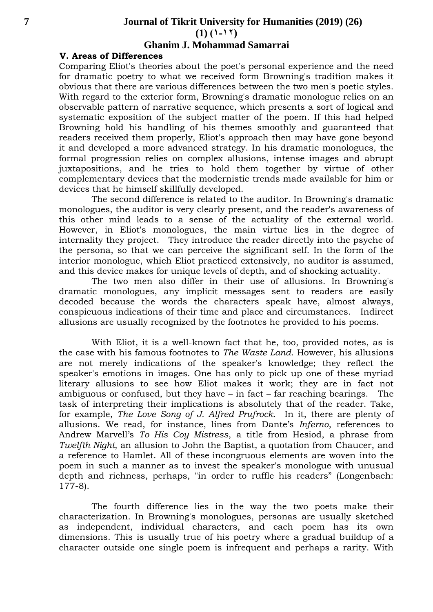$(1)$   $(1 - 17)$ 

## **Ghanim J. Mohammad Samarrai**

## **V. Areas of Differences**

Comparing Eliot's theories about the poet's personal experience and the need for dramatic poetry to what we received form Browning's tradition makes it obvious that there are various differences between the two men's poetic styles. With regard to the exterior form, Browning's dramatic monologue relies on an observable pattern of narrative sequence, which presents a sort of logical and systematic exposition of the subject matter of the poem. If this had helped Browning hold his handling of his themes smoothly and guaranteed that readers received them properly, Eliot's approach then may have gone beyond it and developed a more advanced strategy. In his dramatic monologues, the formal progression relies on complex allusions, intense images and abrupt juxtapositions, and he tries to hold them together by virtue of other complementary devices that the modernistic trends made available for him or devices that he himself skillfully developed.

The second difference is related to the auditor. In Browning's dramatic monologues, the auditor is very clearly present, and the reader's awareness of this other mind leads to a sense of the actuality of the external world. However, in Eliot's monologues, the main virtue lies in the degree of internality they project. They introduce the reader directly into the psyche of the persona, so that we can perceive the significant self. In the form of the interior monologue, which Eliot practiced extensively, no auditor is assumed, and this device makes for unique levels of depth, and of shocking actuality.

The two men also differ in their use of allusions. In Browning's dramatic monologues, any implicit messages sent to readers are easily decoded because the words the characters speak have, almost always, conspicuous indications of their time and place and circumstances. Indirect allusions are usually recognized by the footnotes he provided to his poems.

With Eliot, it is a well-known fact that he, too, provided notes, as is the case with his famous footnotes to *The Waste Land*. However, his allusions are not merely indications of the speaker's knowledge; they reflect the speaker's emotions in images. One has only to pick up one of these myriad literary allusions to see how Eliot makes it work; they are in fact not ambiguous or confused, but they have – in fact – far reaching bearings. The task of interpreting their implications is absolutely that of the reader. Take, for example, *The Love Song of J. Alfred Prufrock*. In it, there are plenty of allusions. We read, for instance, lines from Dante's *Inferno*, references to Andrew Marvell's *To His Coy Mistress*, a title from Hesiod, a phrase from *Twelfth Night*, an allusion to John the Baptist, a quotation from Chaucer, and a reference to Hamlet. All of these incongruous elements are woven into the poem in such a manner as to invest the speaker's monologue with unusual depth and richness, perhaps, "in order to ruffle his readers" (Longenbach: 177-8).

The fourth difference lies in the way the two poets make their characterization. In Browning's monologues, personas are usually sketched as independent, individual characters, and each poem has its own dimensions. This is usually true of his poetry where a gradual buildup of a character outside one single poem is infrequent and perhaps a rarity. With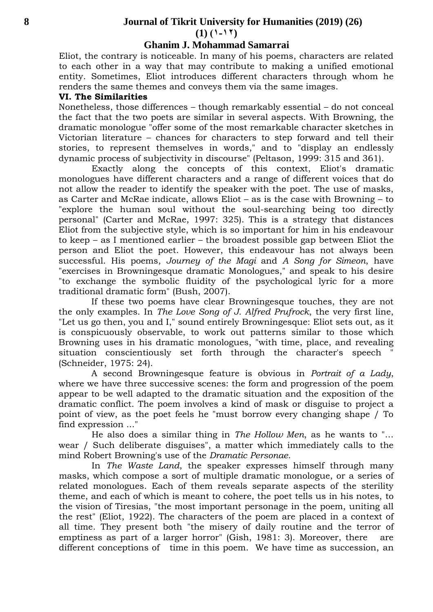#### **8 Journal of Tikrit University for Humanities (2019) (26)**

 $(1)$   $(1 - 17)$ 

#### **Ghanim J. Mohammad Samarrai**

Eliot, the contrary is noticeable. In many of his poems, characters are related to each other in a way that may contribute to making a unified emotional entity. Sometimes, Eliot introduces different characters through whom he renders the same themes and conveys them via the same images.

#### **VI. The Similarities**

Nonetheless, those differences – though remarkably essential – do not conceal the fact that the two poets are similar in several aspects. With Browning, the dramatic monologue "offer some of the most remarkable character sketches in Victorian literature – chances for characters to step forward and tell their stories, to represent themselves in words," and to "display an endlessly dynamic process of subjectivity in discourse" (Peltason, 1999: 315 and 361).

Exactly along the concepts of this context, Eliot's dramatic monologues have different characters and a range of different voices that do not allow the reader to identify the speaker with the poet. The use of masks, as Carter and McRae indicate, allows Eliot – as is the case with Browning – to "explore the human soul without the soul-searching being too directly personal" (Carter and McRae, 1997: 325). This is a strategy that distances Eliot from the subjective style, which is so important for him in his endeavour to keep – as I mentioned earlier – the broadest possible gap between Eliot the person and Eliot the poet. However, this endeavour has not always been successful. His poems, *Journey of the Magi* and *A Song for Simeon*, have "exercises in Browningesque dramatic Monologues," and speak to his desire "to exchange the symbolic fluidity of the psychological lyric for a more traditional dramatic form" (Bush, 2007).

If these two poems have clear Browningesque touches, they are not the only examples. In *The Love Song of J. Alfred Prufrock*, the very first line, "Let us go then, you and I," sound entirely Browningesque: Eliot sets out, as it is conspicuously observable, to work out patterns similar to those which Browning uses in his dramatic monologues, "with time, place, and revealing situation conscientiously set forth through the character's speech (Schneider, 1975: 24).

A second Browningesque feature is obvious in *Portrait of a Lady*, where we have three successive scenes: the form and progression of the poem appear to be well adapted to the dramatic situation and the exposition of the dramatic conflict. The poem involves a kind of mask or disguise to project a point of view, as the poet feels he "must borrow every changing shape / To find expression ..."

He also does a similar thing in *The Hollow Men*, as he wants to "… wear / Such deliberate disguises", a matter which immediately calls to the mind Robert Browning's use of the *Dramatic Personae*.

In *The Waste Land*, the speaker expresses himself through many masks, which compose a sort of multiple dramatic monologue, or a series of related monologues. Each of them reveals separate aspects of the sterility theme, and each of which is meant to cohere, the poet tells us in his notes, to the vision of Tiresias, "the most important personage in the poem, uniting all the rest" (Eliot, 1922). The characters of the poem are placed in a context of all time. They present both "the misery of daily routine and the terror of emptiness as part of a larger horror" (Gish, 1981: 3). Moreover, there are different conceptions of time in this poem. We have time as succession, an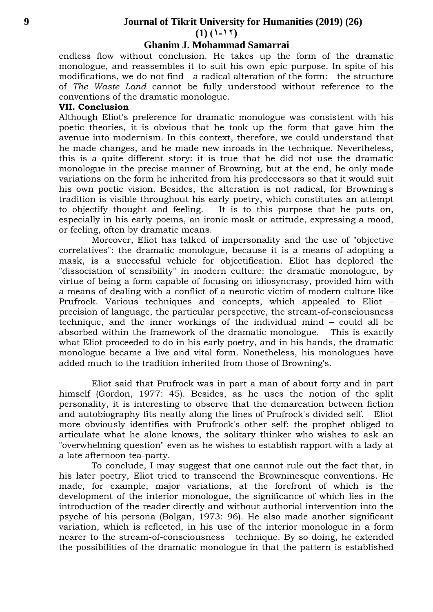$(1)$   $(1 - 17)$ 

## **Ghanim J. Mohammad Samarrai**

endless flow without conclusion. He takes up the form of the dramatic monologue, and reassembles it to suit his own epic purpose. In spite of his modifications, we do not find a radical alteration of the form: the structure of *The Waste Land* cannot be fully understood without reference to the conventions of the dramatic monologue.

#### **VII. Conclusion**

Although Eliot's preference for dramatic monologue was consistent with his poetic theories, it is obvious that he took up the form that gave him the avenue into modernism. In this context, therefore, we could understand that he made changes, and he made new inroads in the technique. Nevertheless, this is a quite different story: it is true that he did not use the dramatic monologue in the precise manner of Browning, but at the end, he only made variations on the form he inherited from his predecessors so that it would suit his own poetic vision. Besides, the alteration is not radical, for Browning's tradition is visible throughout his early poetry, which constitutes an attempt to objectify thought and feeling. It is to this purpose that he puts on, especially in his early poems, an ironic mask or attitude, expressing a mood, or feeling, often by dramatic means.

Moreover, Eliot has talked of impersonality and the use of "objective correlatives": the dramatic monologue, because it is a means of adopting a mask, is a successful vehicle for objectification. Eliot has deplored the "dissociation of sensibility" in modern culture: the dramatic monologue, by virtue of being a form capable of focusing on idiosyncrasy, provided him with a means of dealing with a conflict of a neurotic victim of modern culture like Prufrock. Various techniques and concepts, which appealed to Eliot – precision of language, the particular perspective, the stream-of-consciousness technique, and the inner workings of the individual mind – could all be absorbed within the framework of the dramatic monologue. This is exactly what Eliot proceeded to do in his early poetry, and in his hands, the dramatic monologue became a live and vital form. Nonetheless, his monologues have added much to the tradition inherited from those of Browning's.

Eliot said that Prufrock was in part a man of about forty and in part himself (Gordon, 1977: 45). Besides, as he uses the notion of the split personality, it is interesting to observe that the demarcation between fiction and autobiography fits neatly along the lines of Prufrock's divided self. Eliot more obviously identifies with Prufrock's other self: the prophet obliged to articulate what he alone knows, the solitary thinker who wishes to ask an "overwhelming question" even as he wishes to establish rapport with a lady at a late afternoon tea-party.

To conclude, I may suggest that one cannot rule out the fact that, in his later poetry, Eliot tried to transcend the Browninesque conventions. He made, for example, major variations, at the forefront of which is the development of the interior monologue, the significance of which lies in the introduction of the reader directly and without authorial intervention into the psyche of his persona (Bolgan, 1973: 96). He also made another significant variation, which is reflected, in his use of the interior monologue in a form nearer to the stream-of-consciousness technique. By so doing, he extended the possibilities of the dramatic monologue in that the pattern is established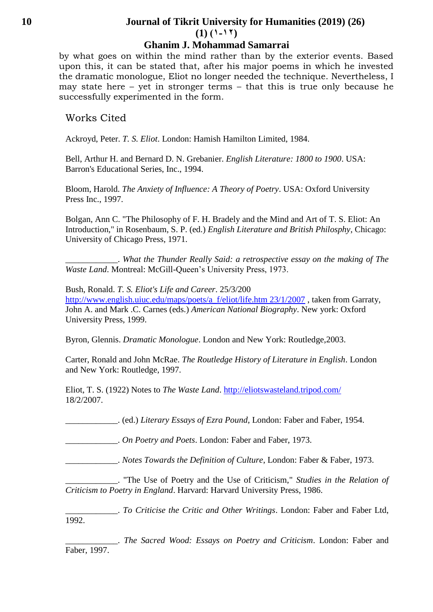## **10 Journal of Tikrit University for Humanities (2019) (26)**   $(1)$   $(1 - 17)$

## **Ghanim J. Mohammad Samarrai**

by what goes on within the mind rather than by the exterior events. Based upon this, it can be stated that, after his major poems in which he invested the dramatic monologue, Eliot no longer needed the technique. Nevertheless, I may state here – yet in stronger terms – that this is true only because he successfully experimented in the form.

## Works Cited

Ackroyd, Peter. *T. S. Eliot*. London: Hamish Hamilton Limited, 1984.

Bell, Arthur H. and Bernard D. N. Grebanier. *English Literature: 1800 to 1900*. USA: Barron's Educational Series, Inc., 1994.

Bloom, Harold. *The Anxiety of Influence: A Theory of Poetry*. USA: Oxford University Press Inc., 1997.

Bolgan, Ann C. "The Philosophy of F. H. Bradely and the Mind and Art of T. S. Eliot: An Introduction," in Rosenbaum, S. P. (ed.) *English Literature and British Philosphy*, Chicago: University of Chicago Press, 1971.

\_\_\_\_\_\_\_\_\_\_\_\_. *What the Thunder Really Said: a retrospective essay on the making of The Waste Land*. Montreal: McGill-Queen's University Press, 1973.

Bush, Ronald. *T. S. Eliot's Life and Career*. 25/3/200 [http://www.english.uiuc.edu/maps/poets/a\\_f/eliot/life.htm 23/1/2007](http://www.english.uiuc.edu/maps/poets/a_f/eliot/life.htm%2023/1/2007) , taken from Garraty, John A. and Mark .C. Carnes (eds.) *American National Biography*. New york: Oxford University Press, 1999.

Byron, Glennis. *Dramatic Monologue*. London and New York: Routledge,2003.

Carter, Ronald and John McRae. *The Routledge History of Literature in English*. London and New York: Routledge, 1997.

Eliot, T. S. (1922) Notes to *The Waste Land*.<http://eliotswasteland.tripod.com/> 18/2/2007.

\_\_\_\_\_\_\_\_\_\_\_\_. (ed.) *Literary Essays of Ezra Pound*, London: Faber and Faber, 1954.

\_\_\_\_\_\_\_\_\_\_\_\_. *On Poetry and Poets*. London: Faber and Faber, 1973.

\_\_\_\_\_\_\_\_\_\_\_\_. *Notes Towards the Definition of Culture*, London: Faber & Faber, 1973.

\_\_\_\_\_\_\_\_\_\_\_\_. "The Use of Poetry and the Use of Criticism," *Studies in the Relation of Criticism to Poetry in England*. Harvard: Harvard University Press, 1986.

\_\_\_\_\_\_\_\_\_\_\_\_. *To Criticise the Critic and Other Writings*. London: Faber and Faber Ltd, 1992.

\_\_\_\_\_\_\_\_\_\_\_\_. *The Sacred Wood: Essays on Poetry and Criticism*. London: Faber and Faber, 1997.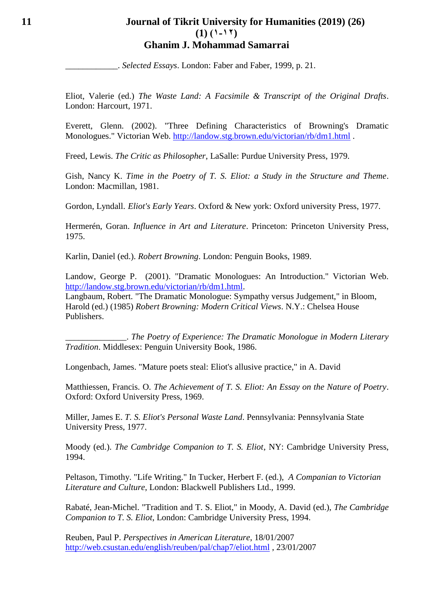## **11 Journal of Tikrit University for Humanities (2019) (26)**   $(1)$   $(1 - 17)$ **Ghanim J. Mohammad Samarrai**

\_\_\_\_\_\_\_\_\_\_\_\_. *Selected Essays*. London: Faber and Faber, 1999, p. 21.

Eliot, Valerie (ed.) *The Waste Land: A Facsimile & Transcript of the Original Drafts*. London: Harcourt, 1971.

Everett, Glenn. (2002). "Three Defining Characteristics of Browning's Dramatic Monologues." Victorian Web.<http://landow.stg.brown.edu/victorian/rb/dm1.html> .

Freed, Lewis. *The Critic as Philosopher*, LaSalle: Purdue University Press, 1979.

Gish, Nancy K. *Time in the Poetry of T. S. Eliot: a Study in the Structure and Theme*. London: Macmillan, 1981.

Gordon, Lyndall. *Eliot's Early Years*. Oxford & New york: Oxford university Press, 1977.

Hermerén, Goran. *Influence in Art and Literature*. Princeton: Princeton University Press, 1975.

Karlin, Daniel (ed.). *Robert Browning*. London: Penguin Books, 1989.

Landow, George P. (2001). "Dramatic Monologues: An Introduction." Victorian Web. [http://landow.stg.brown.edu/victorian/rb/dm1.html.](http://landow.stg.brown.edu/victorian/rb/dm1.html)

Langbaum, Robert. "The Dramatic Monologue: Sympathy versus Judgement," in Bloom, Harold (ed.) (1985) *Robert Browning: Modern Critical Views*. N.Y.: Chelsea House Publishers.

\_\_\_\_\_\_\_\_\_\_\_\_\_\_. *The Poetry of Experience: The Dramatic Monologue in Modern Literary Tradition*. Middlesex: Penguin University Book, 1986.

Longenbach, James. "Mature poets steal: Eliot's allusive practice," in A. David

Matthiessen, Francis. O. *The Achievement of T. S. Eliot: An Essay on the Nature of Poetry*. Oxford: Oxford University Press, 1969.

Miller, James E. *T. S. Eliot's Personal Waste Land*. Pennsylvania: Pennsylvania State University Press, 1977.

Moody (ed.). *The Cambridge Companion to T. S. Eliot*, NY: Cambridge University Press, 1994.

Peltason, Timothy. "Life Writing." In Tucker, Herbert F. (ed.), *A Companian to Victorian Literature and Culture*, London: Blackwell Publishers Ltd., 1999.

Rabaté, Jean-Michel. "Tradition and T. S. Eliot," in Moody, A. David (ed.), *The Cambridge Companion to T. S. Eliot*, London: Cambridge University Press, 1994.

Reuben, Paul P. *Perspectives in American Literature*, 18/01/2007 <http://web.csustan.edu/english/reuben/pal/chap7/eliot.html> , 23/01/2007